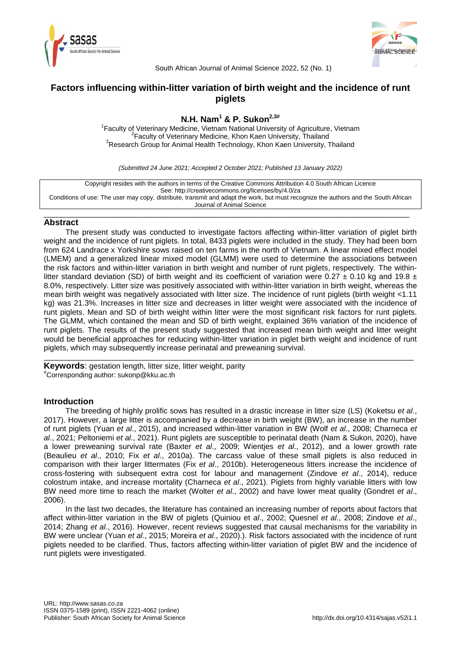



South African Journal of Animal Science 2022, 52 (No. 1)

# **Factors influencing within-litter variation of birth weight and the incidence of runt piglets**

# **N.H. Nam<sup>1</sup> & P. Sukon2,3#**

<sup>1</sup> Faculty of Veterinary Medicine, Vietnam National University of Agriculture, Vietnam <sup>2</sup> Faculty of Veterinary Medicine, Khon Kaen University, Thailand <sup>3</sup>Research Group for Animal Health Technology, Khon Kaen University, Thailand

*(Submitted 24 June 2021; Accepted 2 October 2021; Published 13 January 2022)*

Copyright resides with the authors in terms of the Creative Commons Attribution 4.0 South African Licence See: http://creativecommons.org/licenses/by/4.0/za Conditions of use: The user may copy, distribute, transmit and adapt the work, but must recognize the authors and the South African Journal of Animal Science

\_\_\_\_\_\_\_\_\_\_\_\_\_\_\_\_\_\_\_\_\_\_\_\_\_\_\_\_\_\_\_\_\_\_\_\_\_\_\_\_\_\_\_\_\_\_\_\_\_\_\_\_\_\_\_\_\_\_\_\_\_\_\_\_\_\_\_\_\_\_\_\_\_\_\_\_\_\_\_\_\_\_\_\_\_

## **Abstract**

The present study was conducted to investigate factors affecting within-litter variation of piglet birth weight and the incidence of runt piglets. In total, 8433 piglets were included in the study. They had been born from 624 Landrace x Yorkshire sows raised on ten farms in the north of Vietnam. A linear mixed effect model (LMEM) and a generalized linear mixed model (GLMM) were used to determine the associations between the risk factors and within-litter variation in birth weight and number of runt piglets, respectively. The withinlitter standard deviation (SD) of birth weight and its coefficient of variation were 0.27  $\pm$  0.10 kg and 19.8  $\pm$ 8.0%, respectively. Litter size was positively associated with within-litter variation in birth weight, whereas the mean birth weight was negatively associated with litter size. The incidence of runt piglets (birth weight <1.11 kg) was 21.3%. Increases in litter size and decreases in litter weight were associated with the incidence of runt piglets. Mean and SD of birth weight within litter were the most significant risk factors for runt piglets. The GLMM, which contained the mean and SD of birth weight, explained 36% variation of the incidence of runt piglets. The results of the present study suggested that increased mean birth weight and litter weight would be beneficial approaches for reducing within-litter variation in piglet birth weight and incidence of runt piglets, which may subsequently increase perinatal and preweaning survival.

\_\_\_\_\_\_\_\_\_\_\_\_\_\_\_\_\_\_\_\_\_\_\_\_\_\_\_\_\_\_\_\_\_\_\_\_\_\_\_\_\_\_\_\_\_\_\_\_\_\_\_\_\_\_\_\_\_\_\_\_\_\_\_\_\_\_\_\_\_\_\_\_\_\_\_\_\_\_\_\_\_\_\_\_\_\_

**Keywords**: gestation length, litter size, litter weight, parity #Corresponding author: sukonp@kku.ac.th

## **Introduction**

The breeding of highly prolific sows has resulted in a drastic increase in litter size (LS) (Koketsu *et al*., 2017). However, a large litter is accompanied by a decrease in birth weight (BW), an increase in the number of runt piglets (Yuan *et al*., 2015), and increased within-litter variation in BW (Wolf *et al*., 2008; Charneca *et al*., 2021; Peltoniemi *et al*., 2021). Runt piglets are susceptible to perinatal death (Nam & Sukon, 2020), have a lower preweaning survival rate (Baxter *et al*., 2009; Wientjes *et al*., 2012), and a lower growth rate (Beaulieu *et al*., 2010; Fix *et al*., 2010a). The carcass value of these small piglets is also reduced in comparison with their larger littermates (Fix *et al*., 2010b). Heterogeneous litters increase the incidence of cross-fostering with subsequent extra cost for labour and management (Zindove *et al*., 2014), reduce colostrum intake, and increase mortality (Charneca *et al*., 2021). Piglets from highly variable litters with low BW need more time to reach the market (Wolter *et al*., 2002) and have lower meat quality (Gondret *et al*., 2006).

In the last two decades, the literature has contained an increasing number of reports about factors that affect within-litter variation in the BW of piglets (Quiniou et *al*., 2002; Quesnel *et al*., 2008; Zindove *et al*., 2014; Zhang *et al*., 2016). However, recent reviews suggested that causal mechanisms for the variability in BW were unclear (Yuan *et al*., 2015; Moreira *et al*., 2020).). Risk factors associated with the incidence of runt piglets needed to be clarified. Thus, factors affecting within-litter variation of piglet BW and the incidence of runt piglets were investigated.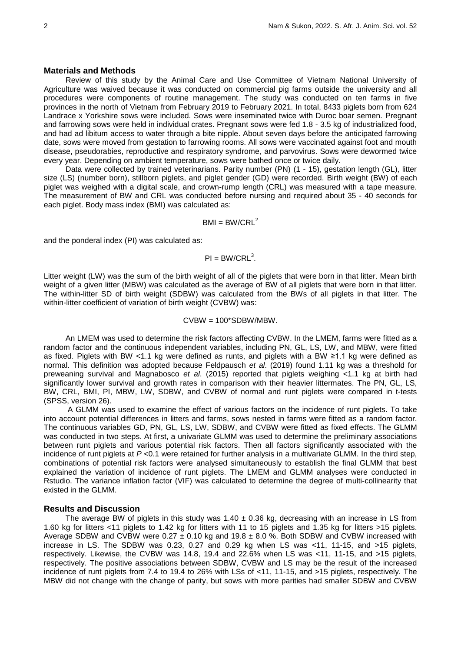### **Materials and Methods**

Review of this study by the Animal Care and Use Committee of Vietnam National University of Agriculture was waived because it was conducted on commercial pig farms outside the university and all procedures were components of routine management. The study was conducted on ten farms in five provinces in the north of Vietnam from February 2019 to February 2021. In total, 8433 piglets born from 624 Landrace x Yorkshire sows were included. Sows were inseminated twice with Duroc boar semen. Pregnant and farrowing sows were held in individual crates. Pregnant sows were fed 1.8 - 3.5 kg of industrialized food, and had ad libitum access to water through a bite nipple. About seven days before the anticipated farrowing date, sows were moved from gestation to farrowing rooms. All sows were vaccinated against foot and mouth disease, pseudorabies, reproductive and respiratory syndrome, and parvovirus. Sows were dewormed twice every year. Depending on ambient temperature, sows were bathed once or twice daily.

Data were collected by trained veterinarians. Parity number (PN) (1 - 15), gestation length (GL), litter size (LS) (number born), stillborn piglets, and piglet gender (GD) were recorded. Birth weight (BW) of each piglet was weighed with a digital scale, and crown-rump length (CRL) was measured with a tape measure. The measurement of BW and CRL was conducted before nursing and required about 35 - 40 seconds for each piglet. Body mass index (BMI) was calculated as:

### $BMI = BW/CRL<sup>2</sup>$

and the ponderal index (PI) was calculated as:

## $PI = BW/CRL<sup>3</sup>$ .

Litter weight (LW) was the sum of the birth weight of all of the piglets that were born in that litter. Mean birth weight of a given litter (MBW) was calculated as the average of BW of all piglets that were born in that litter. The within-litter SD of birth weight (SDBW) was calculated from the BWs of all piglets in that litter. The within-litter coefficient of variation of birth weight (CVBW) was:

## CVBW = 100\*SDBW/MBW.

An LMEM was used to determine the risk factors affecting CVBW. In the LMEM, farms were fitted as a random factor and the continuous independent variables, including PN, GL, LS, LW, and MBW, were fitted as fixed. Piglets with BW <1.1 kg were defined as runts, and piglets with a BW ≥1.1 kg were defined as normal. This definition was adopted because Feldpausch *et al*. (2019) found 1.11 kg was a threshold for preweaning survival and Magnabosco *et al*. (2015) reported that piglets weighing <1.1 kg at birth had significantly lower survival and growth rates in comparison with their heavier littermates. The PN, GL, LS, BW, CRL, BMI, PI, MBW, LW, SDBW, and CVBW of normal and runt piglets were compared in t-tests (SPSS, version 26).

A GLMM was used to examine the effect of various factors on the incidence of runt piglets. To take into account potential differences in litters and farms, sows nested in farms were fitted as a random factor. The continuous variables GD, PN, GL, LS, LW, SDBW, and CVBW were fitted as fixed effects. The GLMM was conducted in two steps. At first, a univariate GLMM was used to determine the preliminary associations between runt piglets and various potential risk factors. Then all factors significantly associated with the incidence of runt piglets at *P* <0.1 were retained for further analysis in a multivariate GLMM. In the third step, combinations of potential risk factors were analysed simultaneously to establish the final GLMM that best explained the variation of incidence of runt piglets. The LMEM and GLMM analyses were conducted in Rstudio. The variance inflation factor (VIF) was calculated to determine the degree of multi-collinearity that existed in the GLMM.

## **Results and Discussion**

The average BW of piglets in this study was 1.40  $\pm$  0.36 kg, decreasing with an increase in LS from 1.60 kg for litters <11 piglets to 1.42 kg for litters with 11 to 15 piglets and 1.35 kg for litters >15 piglets. Average SDBW and CVBW were  $0.27 \pm 0.10$  kg and  $19.8 \pm 8.0$  %. Both SDBW and CVBW increased with increase in LS. The SDBW was 0.23, 0.27 and 0.29 kg when LS was  $\lt 11$ , 11-15, and  $>15$  piglets, respectively. Likewise, the CVBW was 14.8, 19.4 and 22.6% when LS was <11, 11-15, and >15 piglets, respectively. The positive associations between SDBW, CVBW and LS may be the result of the increased incidence of runt piglets from 7.4 to 19.4 to 26% with LSs of <11, 11-15, and >15 piglets, respectively. The MBW did not change with the change of parity, but sows with more parities had smaller SDBW and CVBW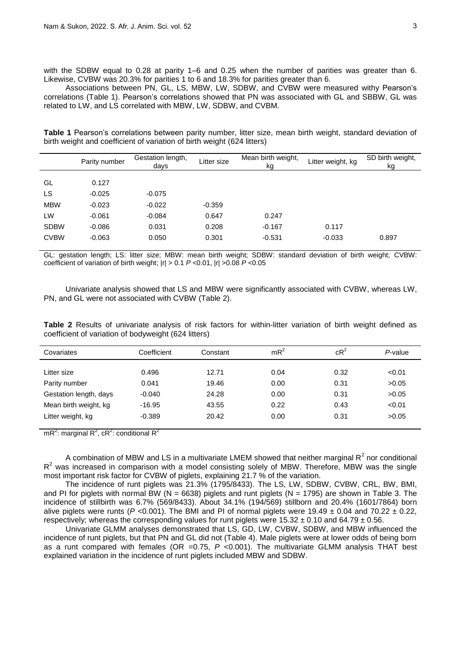with the SDBW equal to 0.28 at parity 1–6 and 0.25 when the number of parities was greater than 6. Likewise, CVBW was 20.3% for parities 1 to 6 and 18.3% for parities greater than 6.

Associations between PN, GL, LS, MBW, LW, SDBW, and CVBW were measured withy Pearson's correlations (Table 1). Pearson's correlations showed that PN was associated with GL and SBBW, GL was related to LW, and LS correlated with MBW, LW, SDBW, and CVBM.

**Table 1** Pearson's correlations between parity number, litter size, mean birth weight, standard deviation of birth weight and coefficient of variation of birth weight (624 litters)

|             | Parity number | Gestation length,<br>days | Litter size | Mean birth weight,<br>kg | Litter weight, kg | SD birth weight,<br>kg |
|-------------|---------------|---------------------------|-------------|--------------------------|-------------------|------------------------|
|             |               |                           |             |                          |                   |                        |
| GL          | 0.127         |                           |             |                          |                   |                        |
| LS          | $-0.025$      | $-0.075$                  |             |                          |                   |                        |
| <b>MBW</b>  | $-0.023$      | $-0.022$                  | $-0.359$    |                          |                   |                        |
| LW          | $-0.061$      | $-0.084$                  | 0.647       | 0.247                    |                   |                        |
| <b>SDBW</b> | $-0.086$      | 0.031                     | 0.208       | $-0.167$                 | 0.117             |                        |
| <b>CVBW</b> | $-0.063$      | 0.050                     | 0.301       | $-0.531$                 | $-0.033$          | 0.897                  |

GL: gestation length; LS: litter size; MBW: mean birth weight; SDBW: standard deviation of birth weight; CVBW: coefficient of variation of birth weight; |r| > 0.1 *P* <0.01, |r| >0.08 *P* <0.05

Univariate analysis showed that LS and MBW were significantly associated with CVBW, whereas LW, PN, and GL were not associated with CVBW (Table 2).

**Table 2** Results of univariate analysis of risk factors for within-litter variation of birth weight defined as coefficient of variation of bodyweight (624 litters)

| Covariates             | Coefficient | Constant | mR <sup>2</sup> | $cR^2$ | P-value |
|------------------------|-------------|----------|-----------------|--------|---------|
|                        |             |          |                 |        |         |
| Litter size            | 0.496       | 12.71    | 0.04            | 0.32   | < 0.01  |
| Parity number          | 0.041       | 19.46    | 0.00            | 0.31   | >0.05   |
| Gestation length, days | $-0.040$    | 24.28    | 0.00            | 0.31   | >0.05   |
| Mean birth weight, kg  | $-16.95$    | 43.55    | 0.22            | 0.43   | < 0.01  |
| Litter weight, kg      | $-0.389$    | 20.42    | 0.00            | 0.31   | >0.05   |

mR<sup>2</sup>: marginal R<sup>2</sup>, cR<sup>2</sup>: conditional R<sup>2</sup>

A combination of MBW and LS in a multivariate LMEM showed that neither marginal  $R^2$  nor conditional  $R^2$  was increased in comparison with a model consisting solely of MBW. Therefore, MBW was the single most important risk factor for CVBW of piglets, explaining 21.7 % of the variation.

The incidence of runt piglets was 21.3% (1795/8433). The LS, LW, SDBW, CVBW, CRL, BW, BMI, and PI for piglets with normal BW ( $N = 6638$ ) piglets and runt piglets ( $N = 1795$ ) are shown in Table 3. The incidence of stillbirth was 6.7% (569/8433). About 34.1% (194/569) stillborn and 20.4% (1601/7864) born alive piglets were runts ( $P < 0.001$ ). The BMI and PI of normal piglets were 19.49  $\pm$  0.04 and 70.22  $\pm$  0.22, respectively; whereas the corresponding values for runt piglets were  $15.32 \pm 0.10$  and  $64.79 \pm 0.56$ .

Univariate GLMM analyses demonstrated that LS, GD, LW, CVBW, SDBW, and MBW influenced the incidence of runt piglets, but that PN and GL did not (Table 4). Male piglets were at lower odds of being born as a runt compared with females (OR =0.75, *P* <0.001). The multivariate GLMM analysis THAT best explained variation in the incidence of runt piglets included MBW and SDBW.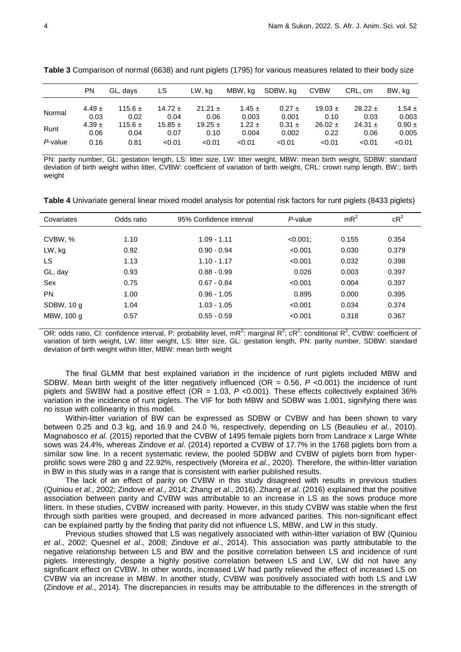|         | PN                 | GL, days            | LS                  | LW. ka              | MBW, kg             | SDBW, ka            | <b>CVBW</b>         | CRL, cm             | BW. ka              |
|---------|--------------------|---------------------|---------------------|---------------------|---------------------|---------------------|---------------------|---------------------|---------------------|
|         | $4.49 \pm$         | 115.6 $\pm$         | 14.72 $\pm$         | $21.21 \pm$         | $1.45 \pm$          | $0.27 \pm$          | $19.03 \pm$         | $28.22 \pm$         | $1.54 \pm$          |
| Normal  | 0.03               | 0.02                | 0.04                | 0.06                | 0.003               | 0.001               | 0.10                | 0.03                | 0.003               |
| Runt    | $4.39 \pm$<br>0.06 | 115.6 $\pm$<br>0.04 | $15.85 \pm$<br>0.07 | $19.25 \pm$<br>0.10 | $1.22 \pm$<br>0.004 | $0.31 \pm$<br>0.002 | $26.02 \pm$<br>0.22 | 24.31 $\pm$<br>0.06 | $0.90 \pm$<br>0.005 |
| P-value | 0.16               | 0.81                | < 0.01              | < 0.01              | < 0.01              | < 0.01              | < 0.01              | < 0.01              | < 0.01              |

**Table 3** Comparison of normal (6638) and runt piglets (1795) for various measures related to their body size

PN: parity number, GL: gestation length, LS: litter size, LW: litter weight, MBW: mean birth weight, SDBW: standard deviation of birth weight within litter, CVBW: coefficient of variation of birth weight, CRL: crown rump length, BW:; birth weight

**Table 4** Univariate general linear mixed model analysis for potential risk factors for runt piglets (8433 piglets)

| Covariates | Odds ratio | 95% Confidence interval | P-value     | $mR^2$ | $cR^2$ |  |
|------------|------------|-------------------------|-------------|--------|--------|--|
|            |            |                         |             |        |        |  |
| CVBW, %    | 1.10       | $1.09 - 1.11$           | $< 0.001$ ; | 0.155  | 0.354  |  |
| LW, kg     | 0.92       | $0.90 - 0.94$           | < 0.001     | 0.030  | 0.379  |  |
| LS.        | 1.13       | $1.10 - 1.17$           | < 0.001     | 0.032  | 0.398  |  |
| GL, day    | 0.93       | $0.88 - 0.99$           | 0.026       | 0.003  | 0.397  |  |
| Sex        | 0.75       | $0.67 - 0.84$           | < 0.001     | 0.004  | 0.397  |  |
| <b>PN</b>  | 1.00       | $0.96 - 1.05$           | 0.895       | 0.000  | 0.395  |  |
| SDBW, 10 g | 1.04       | $1.03 - 1.05$           | < 0.001     | 0.034  | 0.374  |  |
| MBW, 100 g | 0.57       | $0.55 - 0.59$           | < 0.001     | 0.318  | 0.367  |  |
|            |            |                         |             |        |        |  |

OR: odds ratio, CI: confidence interval, P: probability level, mR<sup>2</sup>: marginal R<sup>2</sup>; cR<sup>2</sup>: conditional R<sup>2</sup>, CVBW: coefficient of variation of birth weight, LW: litter weight, LS: litter size, GL: gestation length, PN: parity number, SDBW: standard deviation of birth weight within litter, MBW: mean birth weight

The final GLMM that best explained variation in the incidence of runt piglets included MBW and SDBW. Mean birth weight of the litter negatively influenced (OR = 0.56, *P* <0.001) the incidence of runt piglets and SWBW had a positive effect (OR = 1.03, *P* <0.001). These effects collectively explained 36% variation in the incidence of runt piglets. The VIF for both MBW and SDBW was 1.001, signifying there was no issue with collinearity in this model.

Within-litter variation of BW can be expressed as SDBW or CVBW and has been shown to vary between 0.25 and 0.3 kg, and 16.9 and 24.0 %, respectively, depending on LS (Beaulieu *et al*., 2010). Magnabosco *et al*. (2015) reported that the CVBW of 1495 female piglets born from Landrace x Large White sows was 24.4%, whereas Zindove *et al*. (2014) reported a CVBW of 17.7% in the 1768 piglets born from a similar sow line. In a recent systematic review, the pooled SDBW and CVBW of piglets born from hyperprolific sows were 280 g and 22.92%, respectively (Moreira *et al*., 2020). Therefore, the within-litter variation in BW in this study was in a range that is consistent with earlier published results.

The lack of an effect of parity on CVBW in this study disagreed with results in previous studies (Quiniou *et al*., 2002; Zindove *et al*., 2014; Zhang *et al*., 2016). Zhang *et al*. (2016) explained that the positive association between parity and CVBW was attributable to an increase in LS as the sows produce more litters. In these studies, CVBW increased with parity. However, in this study CVBW was stable when the first through sixth parities were grouped, and decreased in more advanced parities. This non-significant effect can be explained partly by the finding that parity did not influence LS, MBW, and LW in this study.

Previous studies showed that LS was negatively associated with within-litter variation of BW (Quiniou *et al*., 2002; Quesnel *et al*., 2008; Zindove *et al*., 2014). This association was partly attributable to the negative relationship between LS and BW and the positive correlation between LS and incidence of runt piglets. Interestingly, despite a highly positive correlation between LS and LW, LW did not have any significant effect on CVBW. In other words, increased LW had partly relieved the effect of increased LS on CVBW via an increase in MBW. In another study, CVBW was positively associated with both LS and LW (Zindove *et al*., 2014). The discrepancies in results may be attributable to the differences in the strength of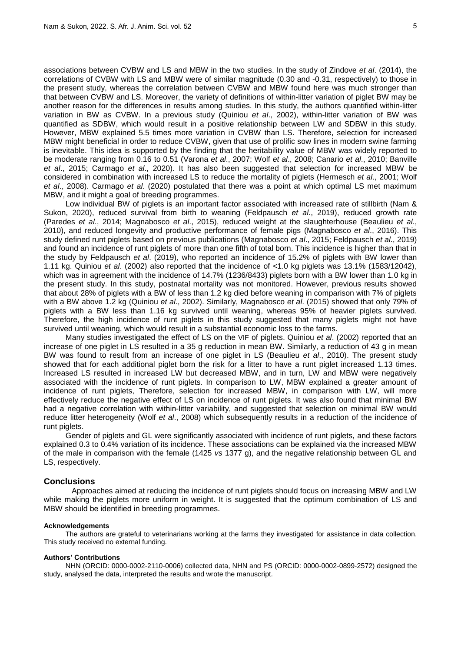associations between CVBW and LS and MBW in the two studies. In the study of Zindove *et al*. (2014), the correlations of CVBW with LS and MBW were of similar magnitude (0.30 and -0.31, respectively) to those in the present study, whereas the correlation between CVBW and MBW found here was much stronger than that between CVBW and LS. Moreover, the variety of definitions of within-litter variation of piglet BW may be another reason for the differences in results among studies. In this study, the authors quantified within-litter variation in BW as CVBW. In a previous study (Quiniou *et al*., 2002), within-litter variation of BW was quantified as SDBW, which would result in a positive relationship between LW and SDBW in this study. However, MBW explained 5.5 times more variation in CVBW than LS. Therefore, selection for increased MBW might beneficial in order to reduce CVBW, given that use of prolific sow lines in modern swine farming is inevitable. This idea is supported by the finding that the heritability value of MBW was widely reported to be moderate ranging from 0.16 to 0.51 (Varona *et al*., 2007; Wolf *et al*., 2008; Canario *et al*., 2010; Banville *et al*., 2015; Carmago *et al*., 2020). It has also been suggested that selection for increased MBW be considered in combination with increased LS to reduce the mortality of piglets (Hermesch *et al*., 2001; Wolf *et al*., 2008). Carmago *et al*. (2020) postulated that there was a point at which optimal LS met maximum MBW, and it might a goal of breeding programmes.

Low individual BW of piglets is an important factor associated with increased rate of stillbirth (Nam & Sukon, 2020), reduced survival from birth to weaning (Feldpausch *et al*., 2019), reduced growth rate (Paredes *et al*., 2014; Magnabosco *et al*., 2015), reduced weight at the slaughterhouse (Beaulieu *et al*., 2010), and reduced longevity and productive performance of female pigs (Magnabosco *et al*., 2016). This study defined runt piglets based on previous publications (Magnabosco *et al*., 2015; Feldpausch *et al*., 2019) and found an incidence of runt piglets of more than one fifth of total born. This incidence is higher than that in the study by Feldpausch *et al*. (2019), who reported an incidence of 15.2% of piglets with BW lower than 1.11 kg. Quiniou *et al*. (2002) also reported that the incidence of <1.0 kg piglets was 13.1% (1583/12042), which was in agreement with the incidence of 14.7% (1236/8433) piglets born with a BW lower than 1.0 kg in the present study. In this study, postnatal mortality was not monitored. However, previous results showed that about 28% of piglets with a BW of less than 1.2 kg died before weaning in comparison with 7% of piglets with a BW above 1.2 kg (Quiniou *et al*., 2002). Similarly, Magnabosco *et al*. (2015) showed that only 79% of piglets with a BW less than 1.16 kg survived until weaning, whereas 95% of heavier piglets survived. Therefore, the high incidence of runt piglets in this study suggested that many piglets might not have survived until weaning, which would result in a substantial economic loss to the farms.

Many studies investigated the effect of LS on the VIF of piglets. Quiniou *et al*. (2002) reported that an increase of one piglet in LS resulted in a 35 g reduction in mean BW. Similarly, a reduction of 43 g in mean BW was found to result from an increase of one piglet in LS (Beaulieu *et al*., 2010). The present study showed that for each additional piglet born the risk for a litter to have a runt piglet increased 1.13 times. Increased LS resulted in increased LW but decreased MBW, and in turn, LW and MBW were negatively associated with the incidence of runt piglets. In comparison to LW, MBW explained a greater amount of incidence of runt piglets, Therefore, selection for increased MBW, in comparison with LW, will more effectively reduce the negative effect of LS on incidence of runt piglets. It was also found that minimal BW had a negative correlation with within-litter variability, and suggested that selection on minimal BW would reduce litter heterogeneity (Wolf *et al*., 2008) which subsequently results in a reduction of the incidence of runt piglets.

Gender of piglets and GL were significantly associated with incidence of runt piglets, and these factors explained 0.3 to 0.4% variation of its incidence. These associations can be explained via the increased MBW of the male in comparison with the female (1425 *vs* 1377 g), and the negative relationship between GL and LS, respectively.

#### **Conclusions**

Approaches aimed at reducing the incidence of runt piglets should focus on increasing MBW and LW while making the piglets more uniform in weight. It is suggested that the optimum combination of LS and MBW should be identified in breeding programmes.

### **Acknowledgements**

The authors are grateful to veterinarians working at the farms they investigated for assistance in data collection. This study received no external funding.

### **Authors' Contributions**

NHN (ORCID: [0000-0002-2110-0006\)](https://orcid.org/0000-0002-2110-0006?lang=en) collected data, NHN and PS (ORCID: 0000-0002-0899-2572) designed the study, analysed the data, interpreted the results and wrote the manuscript.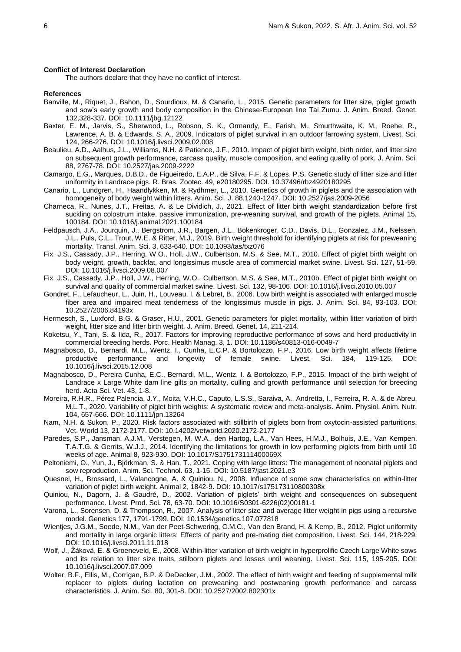#### **Conflict of Interest Declaration**

The authors declare that they have no conflict of interest.

#### **References**

- Banville, M., Riquet, J., Bahon, D., Sourdioux, M. & Canario, L., 2015. Genetic parameters for litter size, piglet growth and sow's early growth and body composition in the Chinese-European line Tai Zumu. J. Anim. Breed. Genet. 132,328-337. DOI: 10.1111/jbg.12122
- Baxter, E. M., Jarvis, S., Sherwood, L., Robson, S. K., Ormandy, E., Farish, M., Smurthwaite, K. M., Roehe, R., Lawrence, A. B. & Edwards, S. A., 2009. Indicators of piglet survival in an outdoor farrowing system. Livest. Sci. 124, 266-276. DOI: 10.1016/j.livsci.2009.02.008
- Beaulieu, A.D., Aalhus, J.L., Williams, N.H. & Patience, J.F., 2010. Impact of piglet birth weight, birth order, and litter size on subsequent growth performance, carcass quality, muscle composition, and eating quality of pork. J. Anim. Sci. 88, 2767-78. DOI: 10.2527/jas.2009-2222
- Camargo, E.G., Marques, D.B.D., de Figueiredo, E.A.P., de Silva, F.F. & Lopes, P.S. Genetic study of litter size and litter uniformity in Landrace pigs. R. Bras. Zootec. 49, e20180295. DOI. 10.37496/rbz4920180295
- Canario, L., Lundgren, H., Haandlykken, M. & Rydhmer, L., 2010. Genetics of growth in piglets and the association with homogeneity of body weight within litters. Anim. Sci. J. 88,1240-1247. DOI: 10.2527/jas.2009-2056
- Charneca, R., Nunes, J.T., Freitas, A. & Le Dividich, J., 2021. Effect of litter birth weight standardization before first suckling on colostrum intake, passive immunization, pre-weaning survival, and growth of the piglets. Animal 15, 100184. DOI: 10.1016/j.animal.2021.100184
- Feldpausch, J.A., Jourquin, J., Bergstrom, J.R., Bargen, J.L., Bokenkroger, C.D., Davis, D.L., Gonzalez, J.M., Nelssen, J.L., Puls, C.L., Trout, W.E. & Ritter, M.J., 2019. Birth weight threshold for identifying piglets at risk for preweaning mortality. Transl. Anim. Sci. 3, 633-640. DOI: 10.1093/tas/txz076
- Fix, J.S., Cassady, J.P., Herring, W.O., Holl, J.W., Culbertson, M.S. & See, M.T., 2010. Effect of piglet birth weight on body weight, growth, backfat, and longissimus muscle area of commercial market swine. Livest. Sci. 127, 51-59. DOI: 10.1016/j.livsci.2009.08.007
- Fix, J.S., Cassady, J.P., Holl, J.W., Herring, W.O., Culbertson, M.S. & See, M.T., 2010b. Effect of piglet birth weight on survival and quality of commercial market swine. Livest. Sci. 132, 98-106. DOI: 10.1016/j.livsci.2010.05.007
- Gondret, F., Lefaucheur, L., Juin, H., Louveau, I. & Lebret, B., 2006. Low birth weight is associated with enlarged muscle fiber area and impaired meat tenderness of the longissimus muscle in pigs. J. Anim. Sci. 84, 93-103. DOI: 10.2527/2006.84193x
- Hermesch, S., Luxford, B.G. & Graser, H.U., 2001. Genetic parameters for piglet mortality, within litter variation of birth weight, litter size and litter birth weight. J. Anim. Breed. Genet. 14, 211-214.
- Koketsu, Y., Tani, S. & Iida, R., 2017. Factors for improving reproductive performance of sows and herd productivity in commercial breeding herds. Porc. Health Manag. 3, 1. DOI: 10.1186/s40813-016-0049-7
- Magnabosco, D., Bernardi, M.L., Wentz, I., Cunha, E.C.P. & Bortolozzo, F.P., 2016. Low birth weight affects lifetime productive performance and longevity of female swine. Livest. Sci. 184, 119-125. DOI: 10.1016/j.livsci.2015.12.008
- Magnabosco, D., Pereira Cunha, E.C., Bernardi, M.L., Wentz, I. & Bortolozzo, F.P., 2015. Impact of the birth weight of Landrace x Large White dam line gilts on mortality, culling and growth performance until selection for breeding herd. Acta Sci. Vet. 43, 1-8.
- Moreira, R.H.R., Pérez Palencia, J.Y., Moita, V.H.C., Caputo, L.S.S., Saraiva, A., Andretta, I., Ferreira, R. A. & de Abreu, M.L.T., 2020. Variability of piglet birth weights: A systematic review and meta-analysis. Anim. Physiol. Anim. Nutr. 104, 657-666. DOI: 10.1111/jpn.13264
- Nam, N.H. & Sukon, P., 2020. Risk factors associated with stillbirth of piglets born from oxytocin-assisted parturitions. Vet. World 13, 2172-2177. DOI: 10.14202/vetworld.2020.2172-2177
- Paredes, S.P., Jansman, A.J.M., Verstegen, M. W.A., den Hartog, L.A., Van Hees, H.M.J., Bolhuis, J.E., Van Kempen, T.A.T.G. & Gerrits, W.J.J., 2014. Identifying the limitations for growth in low performing piglets from birth until 10 weeks of age. Animal 8, 923-930. DOI: 10.1017/S175173111400069X
- Peltoniemi, O., Yun, J., Björkman, S. & Han, T., 2021. Coping with large litters: The management of neonatal piglets and sow reproduction. Anim. Sci. Technol. 63, 1-15. DOI: 10.5187/jast.2021.e3
- Quesnel, H., Brossard, L., Valancogne, A. & Quiniou, N., 2008. Influence of some sow characteristics on within-litter variation of piglet birth weight. Animal 2, 1842-9. DOI: 10.1017/s175173110800308x
- Quiniou, N., Dagorn, J. & Gaudré, D., 2002. Variation of piglets' birth weight and consequences on subsequent performance. Livest. Prod. Sci. 78, 63-70. DOI: 10.1016/S0301-6226(02)00181-1
- Varona, L., Sorensen, D. & Thompson, R., 2007. Analysis of litter size and average litter weight in pigs using a recursive model. Genetics 177, 1791-1799. DOI: 10.1534/genetics.107.077818
- Wientjes, J.G.M., Soede, N.M., Van der Peet-Schwering, C.M.C., Van den Brand, H. & Kemp, B., 2012. Piglet uniformity and mortality in large organic litters: Effects of parity and pre-mating diet composition. Livest. Sci. 144, 218-229. DOI: 10.1016/j.livsci.2011.11.018
- Wolf, J., Žáková, E. & Groeneveld, E., 2008. Within-litter variation of birth weight in hyperprolific Czech Large White sows and its relation to litter size traits, stillborn piglets and losses until weaning. Livest. Sci. 115, 195-205. DOI: 10.1016/j.livsci.2007.07.009
- Wolter, B.F., Ellis, M., Corrigan, B.P. & DeDecker, J.M., 2002. The effect of birth weight and feeding of supplemental milk replacer to piglets during lactation on preweaning and postweaning growth performance and carcass characteristics. J. Anim. Sci. 80, 301-8. DOI: 10.2527/2002.802301x